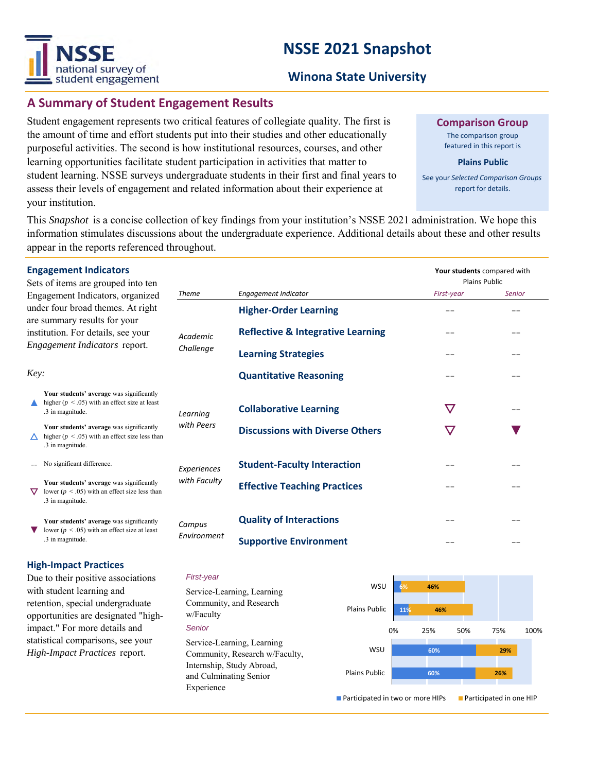

### **Winona State University**

## **A Summary of Student Engagement Results**

Student engagement represents two critical features of collegiate quality. The first is the amount of time and effort students put into their studies and other educationally purposeful activities. The second is how institutional resources, courses, and other learning opportunities facilitate student participation in activities that matter to student learning. NSSE surveys undergraduate students in their first and final years to assess their levels of engagement and related information about their experience at your institution.

**Comparison Group**

The comparison group featured in this report is

#### **Plains Public**

See your *Selected Comparison Groups*  report for details.

This *Snapshot* is a concise collection of key findings from your institution's NSSE 2021 administration. We hope this information stimulates discussions about the undergraduate experience. Additional details about these and other results appear in the reports referenced throughout.

|                                                                                                                                                                                      | <b>Engagement Indicators</b><br>Sets of items are grouped into ten                                                 |                       |                                              | Your students compared with<br><b>Plains Public</b> |        |
|--------------------------------------------------------------------------------------------------------------------------------------------------------------------------------------|--------------------------------------------------------------------------------------------------------------------|-----------------------|----------------------------------------------|-----------------------------------------------------|--------|
| Engagement Indicators, organized<br>under four broad themes. At right<br>are summary results for your<br>institution. For details, see your<br>Engagement Indicators report.<br>Key: |                                                                                                                    | <b>Theme</b>          | <b>Engagement Indicator</b>                  | First-year                                          | Senior |
|                                                                                                                                                                                      |                                                                                                                    | Academic<br>Challenge | <b>Higher-Order Learning</b>                 | --                                                  |        |
|                                                                                                                                                                                      |                                                                                                                    |                       | <b>Reflective &amp; Integrative Learning</b> |                                                     |        |
|                                                                                                                                                                                      |                                                                                                                    |                       | <b>Learning Strategies</b>                   |                                                     |        |
|                                                                                                                                                                                      |                                                                                                                    |                       | <b>Quantitative Reasoning</b>                |                                                     |        |
|                                                                                                                                                                                      | Your students' average was significantly<br>higher ( $p < .05$ ) with an effect size at least<br>.3 in magnitude.  | Learning              | <b>Collaborative Learning</b>                | $\bm{\nabla}$                                       |        |
|                                                                                                                                                                                      | Your students' average was significantly<br>higher ( $p < .05$ ) with an effect size less than<br>.3 in magnitude. | with Peers            | <b>Discussions with Diverse Others</b>       | $\bm{\nabla}$                                       |        |
|                                                                                                                                                                                      | No significant difference.                                                                                         | Experiences           | <b>Student-Faculty Interaction</b>           |                                                     |        |
|                                                                                                                                                                                      | Your students' average was significantly<br>lower ( $p < .05$ ) with an effect size less than<br>.3 in magnitude.  | with Faculty          | <b>Effective Teaching Practices</b>          |                                                     |        |
|                                                                                                                                                                                      | Your students' average was significantly<br>lower ( $p < .05$ ) with an effect size at least<br>.3 in magnitude.   | Campus<br>Environment | <b>Quality of Interactions</b>               |                                                     |        |
|                                                                                                                                                                                      |                                                                                                                    |                       | <b>Supportive Environment</b>                |                                                     |        |
|                                                                                                                                                                                      |                                                                                                                    |                       |                                              |                                                     |        |

### **High-Impact Practices**

Due to their positive associations with student learning and retention, special undergraduate opportunities are designated "highimpact." For more details and statistical comparisons, see your *High-Impact Practices* report.

#### *First-year*

*Senior* Service-Learning, Learning Community, Research w/Faculty, Internship, Study Abroad, and Culminating Senior Experience Service-Learning, Learning Community, and Research w/Faculty

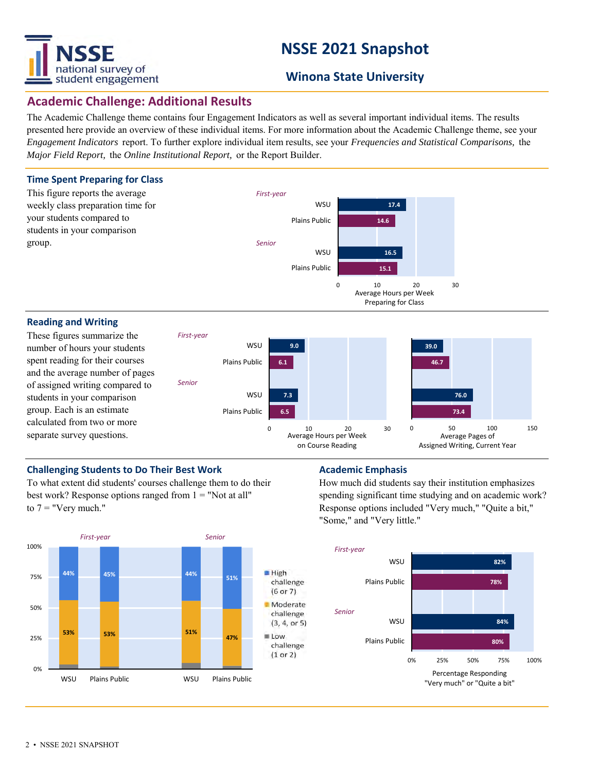

## **Winona State University**

### **Academic Challenge: Additional Results**

The Academic Challenge theme contains four Engagement Indicators as well as several important individual items. The results presented here provide an overview of these individual items. For more information about the Academic Challenge theme, see your *Engagement Indicators* report. To further explore individual item results, see your *Frequencies and Statistical Comparisons,* the *Major Field Report,* the *Online Institutional Report,* or the Report Builder.



number of hours your students spent reading for their courses and the average number of pages of assigned writing compared to students in your comparison

group. Each is an estimate calculated from two or more separate survey questions.



### **Challenging Students to Do Their Best Work <b>Academic Emphasis**

To what extent did students' courses challenge them to do their best work? Response options ranged from  $1 =$  "Not at all" to  $7 =$  "Very much."



How much did students say their institution emphasizes spending significant time studying and on academic work? Response options included "Very much," "Quite a bit," "Some," and "Very little."

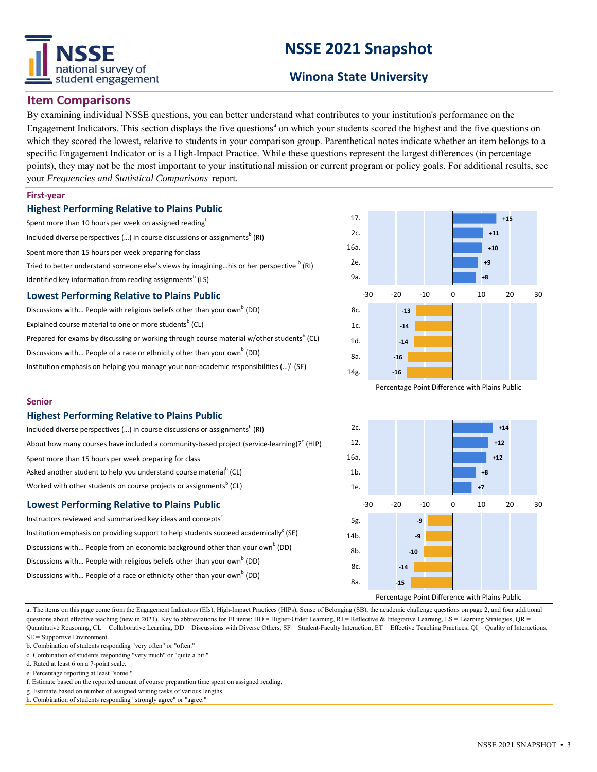

## **Winona State University**

### **Item Comparisons**

By examining individual NSSE questions, you can better understand what contributes to your institution's performance on the Engagement Indicators. This section displays the five questions<sup>a</sup> on which your students scored the highest and the five questions on which they scored the lowest, relative to students in your comparison group. Parenthetical notes indicate whether an item belongs to a specific Engagement Indicator or is a High-Impact Practice. While these questions represent the largest differences (in percentage points), they may not be the most important to your institutional mission or current program or policy goals. For additional results, see your *Frequencies and Statistical Comparisons* report.

#### **First-year**

#### **Highest Performing Relative to Plains Public**

- Spent more than 10 hours per week on assigned reading<sup>f</sup>
- Included diverse perspectives (...) in course discussions or assignments $^{\rm b}$  (RI)

Spent more than 15 hours per week preparing for class

Tried to better understand someone else's views by imagining...his or her perspective  $^{\text{b}}$  (RI) Identified key information from reading assignments<sup>b</sup> (LS)

### **Lowest Performing Relative to Plains Public**

Discussions with... People with religious beliefs other than your own<sup>b</sup> (DD) Explained course material to one or more students<sup>b</sup> (CL) Prepared for exams by discussing or working through course material w/other students<sup>b</sup> (CL) Discussions with... People of a race or ethnicity other than your own<sup>b</sup> (DD) Institution emphasis on helping you manage your non-academic responsibilities  $(...)^c$  (SE)



Percentage Point Difference with Plains Public



### **Highest Performing Relative to Plains Public**

| Included diverse perspectives () in course discussions or assignments <sup>b</sup> (RI)                   | 2c.            |  |  |  |  |  |
|-----------------------------------------------------------------------------------------------------------|----------------|--|--|--|--|--|
| About how many courses have included a community-based project (service-learning)? <sup>e</sup> (HIP)     | 12.            |  |  |  |  |  |
| Spent more than 15 hours per week preparing for class                                                     | 16a.           |  |  |  |  |  |
| Asked another student to help you understand course material <sup>b</sup> (CL)                            | 1 <sub>b</sub> |  |  |  |  |  |
| Worked with other students on course projects or assignments <sup>b</sup> (CL)                            | 1e.            |  |  |  |  |  |
| <b>Lowest Performing Relative to Plains Public</b>                                                        |                |  |  |  |  |  |
| Instructors reviewed and summarized key ideas and concepts $c$                                            | 5g.            |  |  |  |  |  |
| Institution emphasis on providing support to help students succeed academically $\mathsf{S}(\mathsf{SE})$ | 14b.           |  |  |  |  |  |
| Discussions with People from an economic background other than your own <sup>b</sup> (DD)                 | 8b.            |  |  |  |  |  |
| Discussions with People with religious beliefs other than your own <sup>b</sup> (DD)                      | $\sim$         |  |  |  |  |  |

Discussions with... People of a race or ethnicity other than your own<sup>b</sup> (DD)



a. The items on this page come from the Engagement Indicators (EIs), High-Impact Practices (HIPs), Sense of Belonging (SB), the academic challenge questions on page 2, and four additional questions about effective teaching (new in 2021). Key to abbreviations for EI items: HO = Higher-Order Learning, RI = Reflective & Integrative Learning, LS = Learning Strategies, QR = Quantitative Reasoning, CL = Collaborative Learning, DD = Discussions with Diverse Others, SF = Student-Faculty Interaction, ET = Effective Teaching Practices, QI = Quality of Interactions, SE = Supportive Environment.

- f. Estimate based on the reported amount of course preparation time spent on assigned reading.
- g. Estimate based on number of assigned writing tasks of various lengths.
- h. Combination of students responding "strongly agree" or "agree."

b. Combination of students responding "very often" or "often."

c. Combination of students responding "very much" or "quite a bit."

d. Rated at least 6 on a 7-point scale.

e. Percentage reporting at least "some."